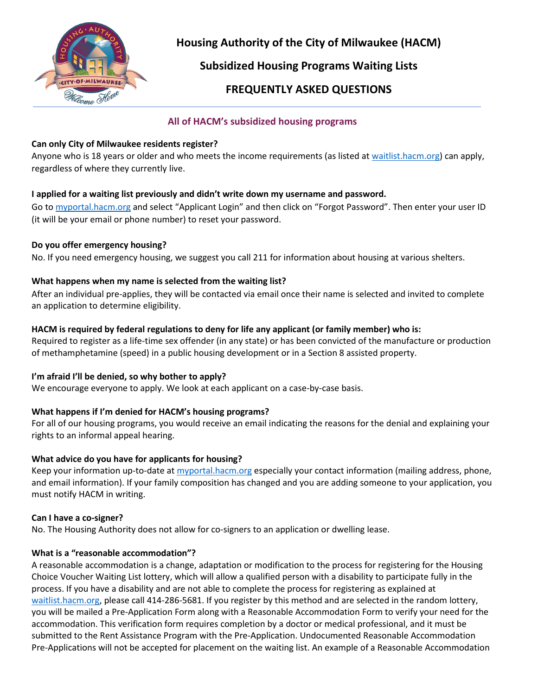

**Housing Authority of the City of Milwaukee (HACM)**

**Subsidized Housing Programs Waiting Lists**

# **FREQUENTLY ASKED QUESTIONS**

# **All of HACM's subsidized housing programs**

## **Can only City of Milwaukee residents register?**

Anyone who is 18 years or older and who meets the income requirements (as listed at [waitlist.hacm.org\)](http://waitlist.hacm.org/) can apply, regardless of where they currently live.

### **I applied for a waiting list previously and didn't write down my username and password.**

Go to [myportal.hacm.org](http://myportal.hacm.org/) and select "Applicant Login" and then click on "Forgot Password". Then enter your user ID (it will be your email or phone number) to reset your password.

### **Do you offer emergency housing?**

No. If you need emergency housing, we suggest you call 211 for information about housing at various shelters.

### **What happens when my name is selected from the waiting list?**

After an individual pre-applies, they will be contacted via email once their name is selected and invited to complete an application to determine eligibility.

# **HACM is required by federal regulations to deny for life any applicant (or family member) who is:**

Required to register as a life-time sex offender (in any state) or has been convicted of the manufacture or production of methamphetamine (speed) in a public housing development or in a Section 8 assisted property.

# **I'm afraid I'll be denied, so why bother to apply?**

We encourage everyone to apply. We look at each applicant on a case-by-case basis.

# **What happens if I'm denied for HACM's housing programs?**

For all of our housing programs, you would receive an email indicating the reasons for the denial and explaining your rights to an informal appeal hearing.

# **What advice do you have for applicants for housing?**

Keep your information up-to-date at [myportal.hacm.org](http://myportal.hacm.org/) especially your contact information (mailing address, phone, and email information). If your family composition has changed and you are adding someone to your application, you must notify HACM in writing.

### **Can I have a co-signer?**

No. The Housing Authority does not allow for co-signers to an application or dwelling lease.

### **What is a "reasonable accommodation"?**

A reasonable accommodation is a change, adaptation or modification to the process for registering for the Housing Choice Voucher Waiting List lottery, which will allow a qualified person with a disability to participate fully in the process. If you have a disability and are not able to complete the process for registering as explained at [waitlist.hacm.org,](http://waitlist.hacm.org/) please call 414-286-5681. If you register by this method and are selected in the random lottery, you will be mailed a Pre-Application Form along with a Reasonable Accommodation Form to verify your need for the accommodation. This verification form requires completion by a doctor or medical professional, and it must be submitted to the Rent Assistance Program with the Pre-Application. Undocumented Reasonable Accommodation Pre-Applications will not be accepted for placement on the waiting list. An example of a Reasonable Accommodation